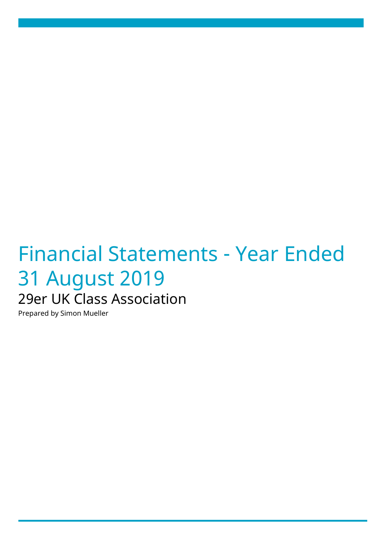# Financial Statements - Year Ended 31 August 2019 29er UK Class Association

Prepared by Simon Mueller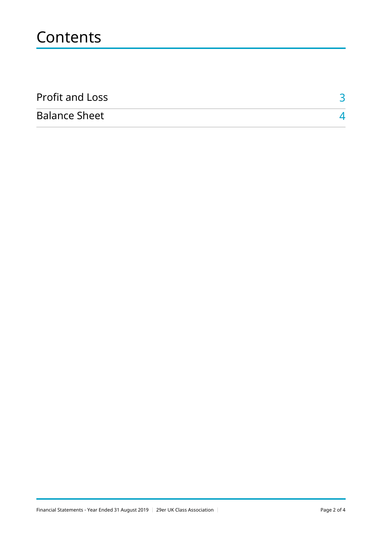## **Contents**

| <b>Profit and Loss</b> |  |
|------------------------|--|
| <b>Balance Sheet</b>   |  |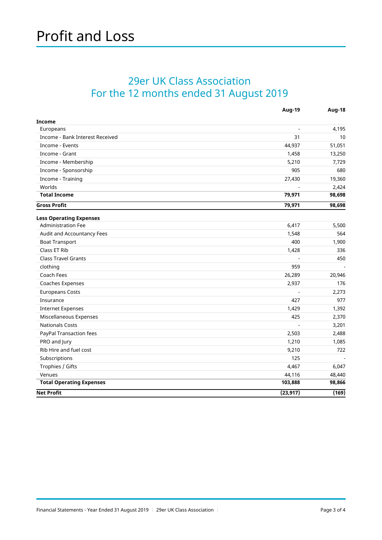#### <span id="page-2-0"></span>29er UK Class Association For the 12 months ended 31 August 2019

|                                 | Aug-19         | Aug-18 |
|---------------------------------|----------------|--------|
| <b>Income</b>                   |                |        |
| Europeans                       | $\sim$         | 4,195  |
| Income - Bank Interest Received | 31             | 10     |
| Income - Events                 | 44,937         | 51,051 |
| Income - Grant                  | 1,458          | 13,250 |
| Income - Membership             | 5,210          | 7,729  |
| Income - Sponsorship            | 905            | 680    |
| Income - Training               | 27,430         | 19,360 |
| Worlds                          |                | 2,424  |
| <b>Total Income</b>             | 79,971         | 98,698 |
| <b>Gross Profit</b>             | 79,971         | 98,698 |
| <b>Less Operating Expenses</b>  |                |        |
| <b>Administration Fee</b>       | 6,417          | 5,500  |
| Audit and Accountancy Fees      | 1,548          | 564    |
| <b>Boat Transport</b>           | 400            | 1,900  |
| Class ET Rib                    | 1,428          | 336    |
| <b>Class Travel Grants</b>      |                | 450    |
| clothing                        | 959            |        |
| Coach Fees                      | 26,289         | 20,946 |
| Coaches Expenses                | 2,937          | 176    |
| <b>Europeans Costs</b>          |                | 2,273  |
| Insurance                       | 427            | 977    |
| <b>Internet Expenses</b>        | 1,429          | 1,392  |
| Miscellaneous Expenses          | 425            | 2,370  |
| <b>Nationals Costs</b>          | $\overline{a}$ | 3,201  |
| PayPal Transaction fees         | 2,503          | 2,488  |
| PRO and Jury                    | 1,210          | 1,085  |
| Rib Hire and fuel cost          | 9,210          | 722    |
| Subscriptions                   | 125            |        |
| Trophies / Gifts                | 4,467          | 6,047  |
| Venues                          | 44,116         | 48,440 |
| <b>Total Operating Expenses</b> | 103,888        | 98,866 |
| <b>Net Profit</b>               | (23, 917)      | (169)  |